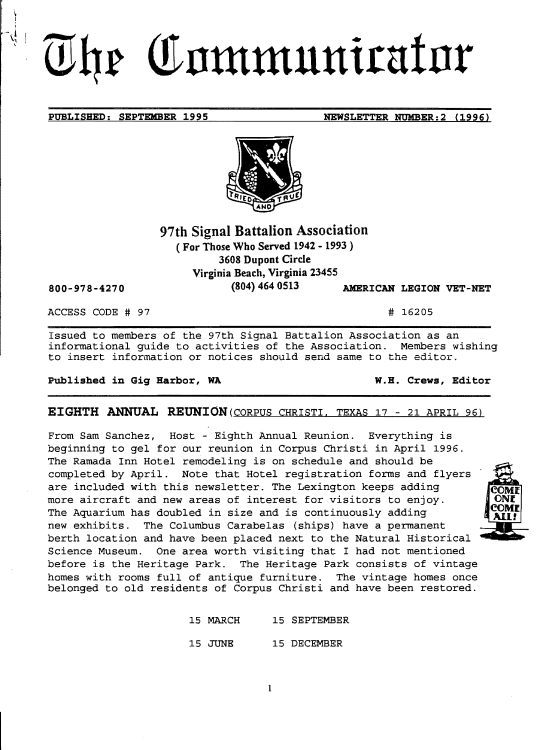# The Communicator

## 97th Signal Battalion Association

( For Those Who Served 1942 - 1993 ) 3608 Dupont Circle

Virginia Beach, Virginia 23455

(804) 464 0513 AMERICAN LEGION VET-NET

ACCESS CODE # 97 # 16205

800-978-4270

Issued to members of the 97th Signal Battalion Association as an informational guide to activities of the Association. Members wishing to insert information or notices should send same to the editor.

#### Published in Gig Harbor, WA W.H. Crews, Editor

EIGHTH ANNUAL REUNION (CORPUS CHRISTI. TEXAS 17 - 21 APRIL 96)

From Sam Sanchez, Host - Eighth Annual Reunion. Everything is beginning to gel for our reunion in Corpus Christi in April 1996. The Ramada Inn Hotel remodeling is on schedule and should be completed by April. Note that Hotel registration forms and flyers are included with this newsletter. The Lexington keeps adding more aircraft and new areas of interest for visitors to enjoy. The Aquarium has doubled in size and is continuously adding<br>new exhibits. The Columbus Carabelas (ships) have a perman The Columbus Carabelas (ships) have a permanent berth location and have been placed next to the Natural Historical Science Museum. One area worth visiting that I had not mentioned before is the Heritage Park. The Heritage Park consists of vintage homes with rooms full of antique furniture. The vintage homes once belonged to old residents of Corpus Christi and have been restored.

> 15 MARCH 15 SEPTEMBER 15 JUNE 15 DECEMBER

> > 1





PUBLISHED: SEPTEMBER 1995 NEWSLETTER NUMBER: 2 (1996)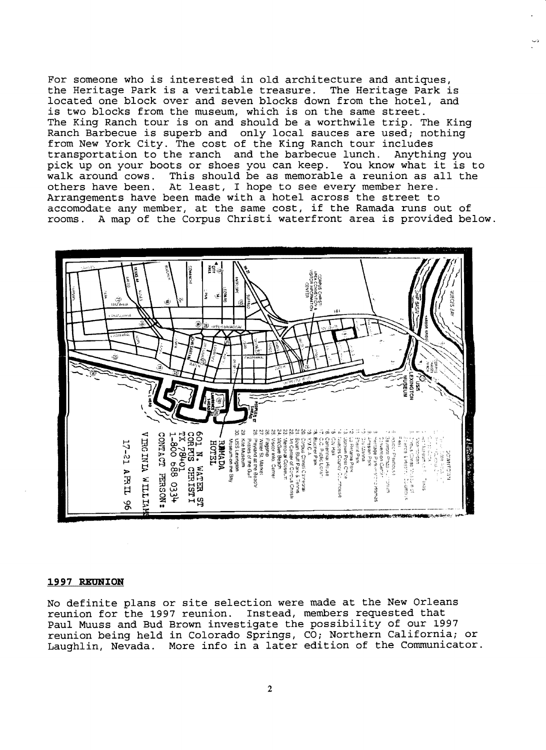For someone who is interested in old architecture and antiques, the Heritage Park is a veritable treasure. The Heritage Park is located one block over and seven blocks down from the hotel, and is two blocks from the museum, which is on the same street. The King Ranch tour is on and should be a worthwile trip. The King Ranch Barbecue is superb and only local sauces are used; nothing from New York City. The cost of the King Ranch tour includes<br>transportation to the ranch and the barbecue lunch. Anything you transportation to the ranch and the barbecue lunch. pick up on your boots or shoes you can keep. You know what it is to pick up on your boots of should be as memorable a reunion as all the others have been. At least, I hope to see every member here. Arrangements have been made with a hotel across the street to accomodate any member, at the same cost, if the Ramada runs out of rooms. A map of the Corpus Christi waterfront area is provided below.  $\downarrow$ 



#### **1997 REUNION**

No definite plans or site selection were made at the New Orleans reunion for the 1997 reunion. Instead, members requested that Paul Muuss and Bud Brown investigate the possibility of our 1997 reunion being held in Colorado Springs, CO; Northern California; or Laughlin, Nevada. More info in a later edition of the Communicator.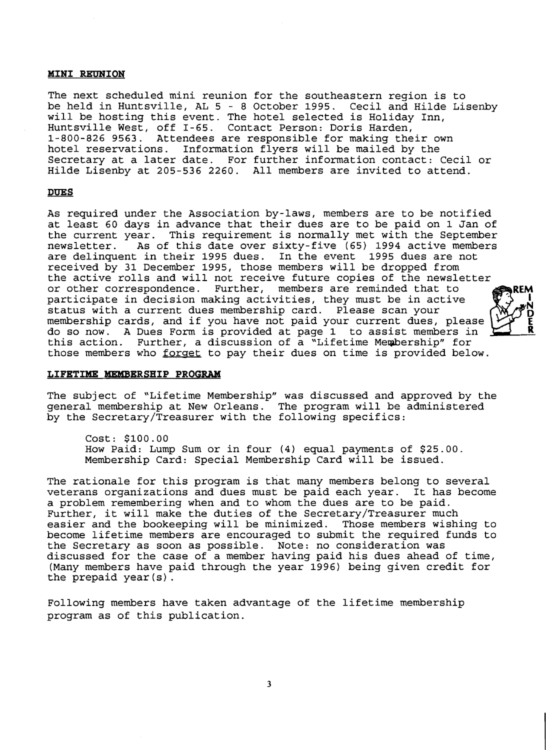#### **MINI REUNION**

The next scheduled mini reunion for the southeastern region is to be held in Huntsville, AL 5 - 8 October 1995. Cecil and Hilde Lisenby will be hosting this event. The hotel selected is Holiday Inn, Huntsville West, off I-65. Contact Person: Doris Harden, 1 800-826 9563. Attendees are responsible for making their own hotel reservations. Information flyers will be mailed by the Secretary at a later date. For further information contact: Cecil or Hilde Lisenby at 205-536 2260. All members are invited to attend.

#### **DUES**

As required under the Association by-laws, members are to be notified at least 60 days in advance that their dues are to be paid on 1 Jan of the current year. This requirement is normally met with the September<br>newsletter. As of this date over sixty-five (65) 1994 active members As of this date over sixty-five (65) 1994 active members are delinquent in their 1995 dues. In the event 1995 dues are not received by 31 December 1995, those members will be dropped from the active rolls and will not receive future copies of the newsletter or other correspondence. Further, members are reminded that to participate in decision making activities, they must be in active status with a current dues membership card. Please scan your membership cards, and if you have not paid your current dues, please do so now. A Dues Form is provided at page 1 to assist members in this action. Further, a discussion of a "Lifetime Membership" for Further, a discussion of a "Lifetime Membership" for those members who forget to pay their dues on time is provided below.

#### **LIFETIME MEMBERSHIP PROGRAM**

The subject of "Lifetime Membership" was discussed and approved by the general membership at New Orleans. The program will be administered by the Secretary/Treasurer with the following specifics:

Cost: \$100.00 How Paid: Lump Sum or in four (4) equal payments of \$25.00. Membership Card: Special Membership Card will be issued.

The rationale for this program is that many members belong to several veterans organizations and dues must be paid each year. It has become a problem remembering when and to whom the dues are to be paid. Further, it will make the duties of the Secretary/Treasurer much easier and the bookeeping will be minimized. Those members wishing to become lifetime members are encouraged to submit the required funds to the Secretary as soon as possible. Note: no consideration was discussed for the case of a member having paid his dues ahead of time, (Many members have paid through the year 1996) being given credit for the prepaid year( $s$ ).

Following members have taken advantage of the lifetime membership program as of this publication.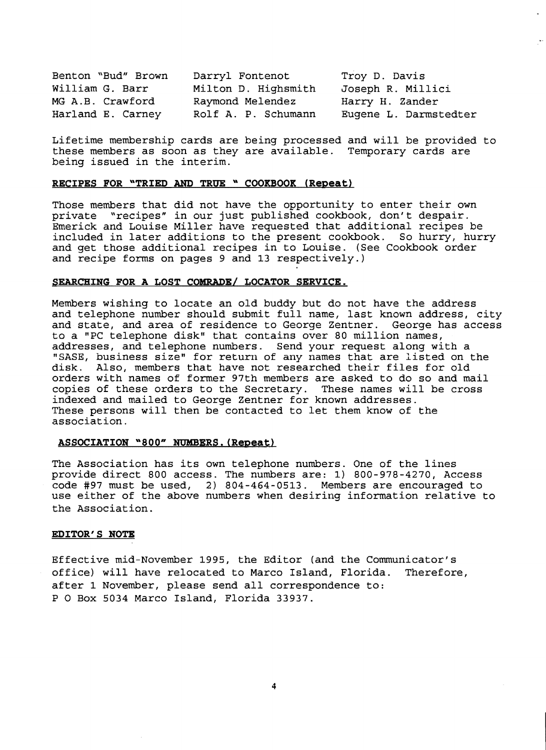| Benton "Bud" Brown | Darryl Fontenot     | Troy D. Davis         |
|--------------------|---------------------|-----------------------|
| William G. Barr    | Milton D. Highsmith | Joseph R. Millici     |
| MG A.B. Crawford   | Raymond Melendez    | Harry H. Zander       |
| Harland E. Carney  | Rolf A. P. Schumann | Eugene L. Darmstedter |

Lifetime membership cards are being processed and will be provided to these members as soon as they are available. Temporary cards are being issued in the interim.

#### **RECIPES FOR "TRIED AND TRUE " COOKBOOK (Repeat)**

Those members that did not have the opportunity to enter their own private "recipes" in our just published cookbook, don't despair. Emerick and Louise Miller have requested that additional recipes be included in later additions to the present cookbook. So hurry, hurry and get those additional recipes in to Louise. (See Cookbook order and recipe forms on pages 9 and 13 respectively.)

#### **SEARCHING FOR A LOST COMRADE/ LOCATOR SERVICE.**

Members wishing to locate an old buddy but do not have the address and telephone number should submit full name, last known address, city and state, and area of residence to George Zentner. George has access to a "PC telephone disk" that contains over 80 million names, addresses, and telephone numbers. Send your request along with a "SASE, business size" for return of any names that are listed on the disk. Also, members that have not researched their files for old orders with names of former 97th members are asked to do so and mail copies of these orders to the Secretary. These names will be cross copies of these orders to the Secretary. indexed and mailed to George Zentner for known addresses. These persons will then be contacted to let them know of the association.

#### **ASSOCIATION "800"** NUMBERS. (Repeat)

The Association has its own telephone numbers. One of the lines provide direct 800 access. The numbers are: 1) 800-978-4270, Access code #97 must be used, 2) 804-464-0513. Members are encouraged to use either of the above numbers when desiring information relative to the Association.

#### **EDITOR'S NOTE**

Effective mid-November 1995, the Editor (and the Communicator's office) will have relocated to Marco Island, Florida. Therefore, after 1 November, please send all correspondence to: POBox 5034 Marco Island, Florida 33937.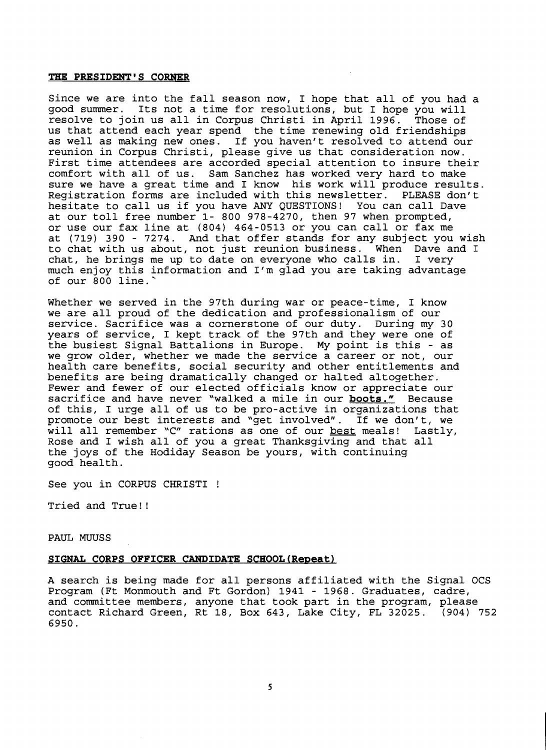#### **THE PRESIDENT'S CORNER**

Since we are into the fall season now, I hope that all of *you* had a good summer. Its not a time for resolutions, but I hope *you* will resolve to join us all in Corpus Christi in April 1996. us that attend each year spend the time renewing old friendships as well as making new ones. If *you* haven't resolved to attend our reunion in Corpus Christi, please give us that consideration now. First time attendees are accorded special attention to insure their comfort with all of us. Sam Sanchez has worked very hard to make sure we have a great time and I know his work will produce results.<br>Registration forms are included with this newsletter. PLEASE don't Registration forms are included with this newsletter. hesitate to call us if *you* have ANY QUESTIONS! You can call Dave at our toll free number 1- 800 978-4270, then 97 when prompted, or use our fax line at (804) 464-0513 or *you* can call or fax me at (719) 390 - 7274. And that offer stands for any subject *you* wish to chat with us about, not just reunion business. When Dave and I chat, he brings me up to date on everyone who calls in. I very chat, he brings me up to date on everyone who calls in. much enjoy this information and I'm glad *you* are taking advantage of our 800 line.'

Whether we served in the 97th during war or peace-time, I know we are all proud of the dedication and professionalism of our service. Sacrifice was a cornerstone of our duty. During my 30 years of service, I kept track of the 97th and they were one of the busiest Signal Battalions in Europe. My point is this - as we grow older, whether we made the service a career or not, our health care benefits, social security and other entitlements and benefits are being dramatically changed or halted altogether. Fewer and fewer of our elected officials know or appreciate our sacrifice and have never "walked a mile in our **boots."** Because of this, I urge all of us to be pro-active in organizations that promote our best interests and "get involved". If we don't, we<br>will all remember "C" rations as one of our <u>best</u> meals! Lastly, will all remember "C" rations as one of our best meals! Rose and I wish all of *you* a great Thanksgiving and that all the joys of the Hodiday Season be yours, with continuing good health.

See *you* in CORPUS CHRISTI !

Tried and True! !

#### PAUL MUUSS

#### **SIGNAL CORPS OFFICER CANDIDATE SCBOOL(Repeat)**

A search is being made for all persons affiliated with the Signal OCS Program (Ft Monmouth and Ft Gordon) 1941 - 1968. Graduates, cadre, and committee members, anyone that took part in the program, please contact Richard Green, Rt 18, Box 643, Lake City, FL 32025. (904) 752 6950.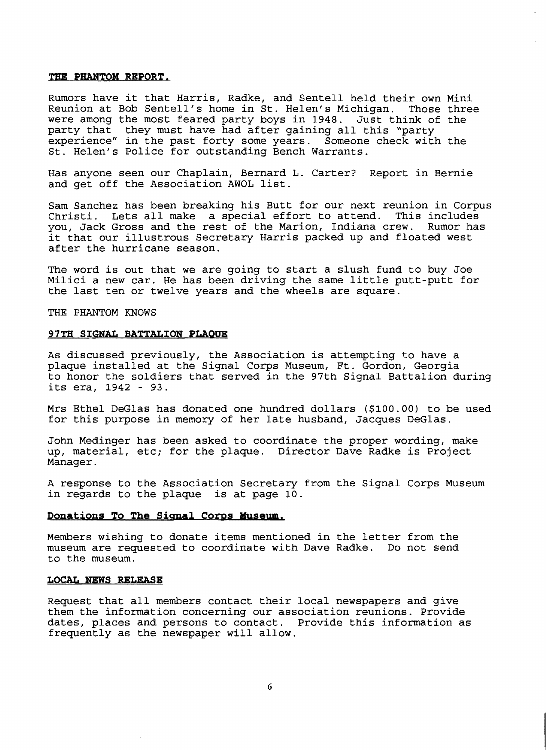#### **THE PHANTOM REPORT.**

Rumors have it that Harris, Radke, and Sentell held their own Mini Reunion at Bob Sentell's home in St. Helen's Michigan. Those three were among the most feared party boys in 1948. Just think of the were among one mose reared party solo in 1910. Oase chink of party experience" in the past forty some years. Someone check with the St. Helen's Police for outstanding Bench Warrants.

Has anyone seen our Chaplain, Bernard L. Carter? Report in Bernie and get off the Association AWOL list.

Sam Sanchez has been breaking his Butt for our next reunion in Corpus Christi. Lets all make a special effort to attend. This includes you, Jack Gross and the rest of the Marion, Indiana crew. Rumor has it that our illustrous Secretary Harris packed up and floated west after the hurricane season.

The word is out that we are going to start a slush fund to buy Joe Milici a new car. He has been driving the same little putt-putt for the last ten or twelve years and the wheels are square.

THE PHANTOM KNOWS

#### **97TH SIGNAL BATTALION PLAOUE**

As discussed previously, the Association is attempting to have a plaque installed at the Signal Corps Museum, Ft. Gordon, Georgia to honor the soldiers that served in the 97th Signal Battalion during its era, 1942 - 93.

Mrs Ethel DeGlas has donated one hundred dollars (\$100.00) to be used for this purpose in memory of her late husband, Jacques DeGlas.

John Medinger has been asked to coordinate the proper wording, make up, material, etc; for the plaque. Director Dave Radke is Project Manager.

A response to the Association Secretary from the Signal Corps Museum in regards to the plaque is at page 10.

#### **Donations To The Signal Corps Museum.**

Members wishing to donate items mentioned in the letter from the museum are requested to coordinate with Dave Radke. Do not send to the museum.

#### **LOCAL NEWS RELEASE**

Request that all members contact their local newspapers and give them the information concerning our association reunions. Provide dates, places and persons to contact. Provide this information as frequently as the newspaper will allow.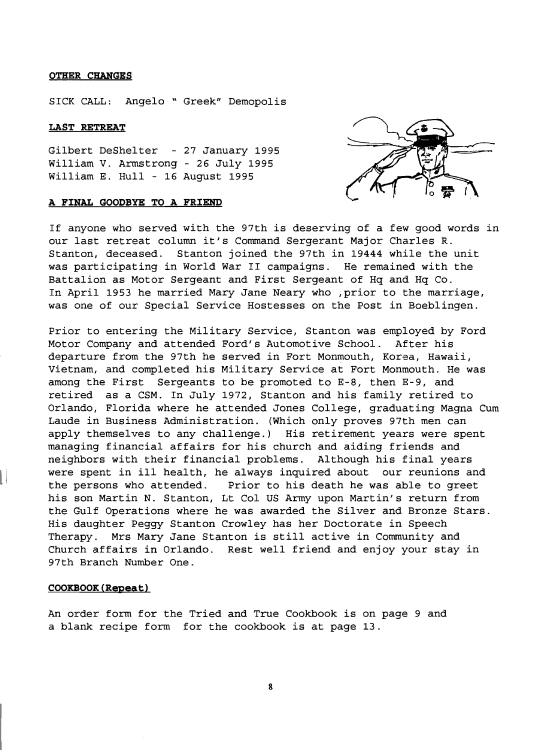#### **OTHER CHANGES**

SICK CALL: Angelo \\ Greek" Demopolis

#### **LAST RETREAT**

Gilbert DeShelter - 27 January 1995 William V. Armstrong - 26 July 1995 William E. Hull - 16 August 1995

#### **A FINAL GOODBYE TO A FRIEND**



If anyone who served with the 97th is deserving of a few good words in our last retreat column it's Command Sergerant Major Charles R. Stanton, deceased. Stanton joined the 97th in 19444 while the unit was participating in World War II campaigns. He remained with the Battalion as Motor Sergeant and First Sergeant of Hq and Hq Co. In April 1953 he married Mary Jane Neary who , prior to the marriage, was one of our Special Service Hostesses on the Post in Boeblingen.

Prior to entering the Military Service, Stanton was employed by Ford Motor Company and attended Ford's Automotive School. After his departure from the 97th he served in Fort Monmouth, Korea, Hawaii, Vietnam, and completed his Military Service at Fort Monmouth. He was among the First Sergeants to be promoted to E-8, then E-9, and retired as a CSM. In July 1972, Stanton and his family retired to Orlando, Florida where he attended Jones College, graduating Magna Cum Laude in Business Administration. (Which only proves 97th men can apply themselves to any challenge.) His retirement years were spent managing financial affairs for his church and aiding friends and neighbors with their financial problems. Although his final years were spent in ill health, he always inquired about our reunions and the persons who attended. Prior to his death he was able to greet his son Martin N. Stanton, Lt Col US Army upon Martin's return from the Gulf Operations where he was awarded the Silver and Bronze Stars. His daughter Peggy Stanton Crowley has her Doctorate in Speech Therapy. Mrs Mary Jane Stanton is still active in Community and Church affairs in Orlando. Rest well friend and enjoy your stay in 97th Branch Number One.

#### **COOKBOOK(R@peat}**

An order form for the Tried and True Cookbook is on page 9 and a blank recipe form for the cookbook is at page 13.

8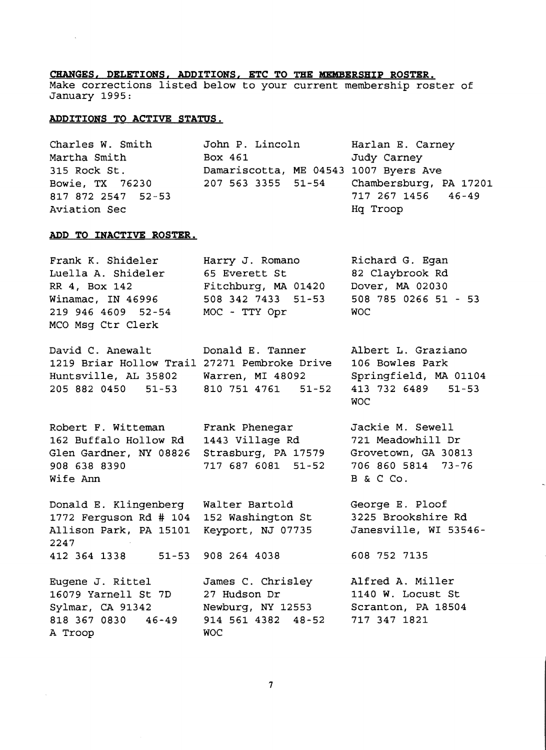#### **CHANGES, DBLETIONS, ADDITIONS, BTC TO THE MEMBBRSHIP ROSTER.**

Make corrections listed below to your current membership roster of January 1995:

#### **ADDITIONS TO ACTIVE STATUS.**

| Charles W. Smith   | John P. Lincoln                           | Harlan E. Carney   |
|--------------------|-------------------------------------------|--------------------|
| Martha Smith       | Box 461                                   | Judy Carney        |
| 315 Rock St.       | Damariscotta, ME 04543 1007 Byers Ave     |                    |
| Bowie, TX 76230    | 207 563 3355 51-54 Chambersburg, PA 17201 |                    |
| 817 872 2547 52-53 |                                           | 717 267 1456 46-49 |
| Aviation Sec       |                                           | Hg Troop           |

#### **ADD TO INACTIVE ROSTER.**

| Frank K. Shideler  | Harry J. Romano     | Richard G. Egan      |
|--------------------|---------------------|----------------------|
| Luella A. Shideler | 65 Everett St       | 82 Claybrook Rd      |
| RR 4, Box 142      | Fitchburg, MA 01420 | Dover, MA 02030      |
| Winamac, IN 46996  | 508 342 7433 51-53  | 508 785 0266 51 - 53 |
| 219 946 4609 52-54 | MOC - TTY Opr       | WOC.                 |
| MCO Msg Ctr Clerk  |                     |                      |

David C. Anewalt Donald E. Tanner 1219 Briar Hollow Trail 27271 Pembroke Drive Huntsville, AL 35802 205 882 0450 51-53 Warren, MI 48092 810 751 4761 51-52 Albert L. Graziano 106 Bowles Park Springfield, MA 01104 413 732 6489 51-53

Robert F. Witteman 162 Buffalo Hollow Rd Glen Gardner, NY 08826 908 638 8390 Wife Ann

Donald E. Klingenberg 1772 Ferguson Rd # 104 Allison Park, PA 15101 2247 412 364 1338 51-53

Eugene J. Rittel 16079 Yarnell St 7D Sylmar, CA 91342 818 367 0830 46-49 A Troop

Frank Phenegar 1443 Village Rd Strasburg, PA 17579 717 687 6081 51-52

Walter Bartold 152 Washington St Keyport, NJ 07735

908 264 4038

27 Hudson Dr

WOC

James C. Chrisley

Newburg, NY 12553 914 561 4382 48-52 Jackie M. Sewell 721 Meadowhill Dr Grovetown, GA 30813 706 860 5814 73-76 B & C Co.

George E. Ploof 3225 Brookshire Rd Janesville, WI 53546

608 752 7135

WOC

Alfred A. Miller 1140 W. Locust St Scranton, PA 18504 717 347 1821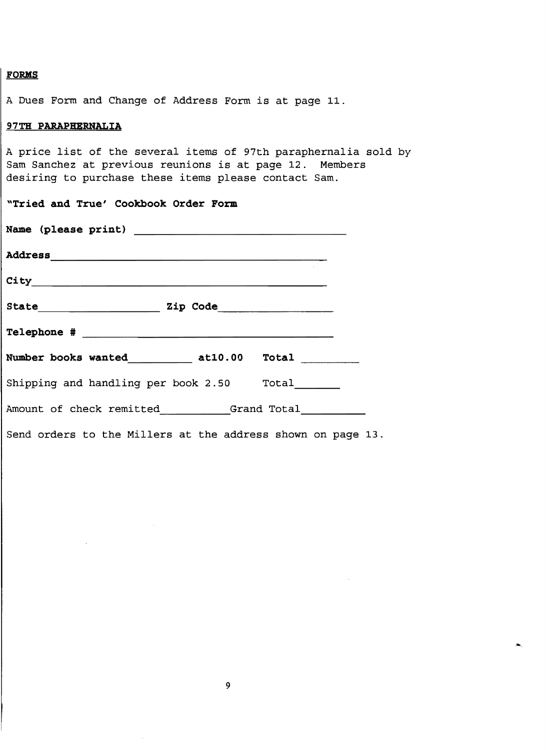#### **FORKS**

A Dues Form and Change of Address Form is at page 11.

#### **97TH PARAPHERNALIA**

A price list of the several items of 97th paraphernalia sold by Sam Sanchez at previous reunions is at page 12. Members desiring to purchase these items please contact Sam.

| "Tried and True' Cookbook Order Form                        |  |  |
|-------------------------------------------------------------|--|--|
|                                                             |  |  |
|                                                             |  |  |
|                                                             |  |  |
| State Zip Code 211                                          |  |  |
|                                                             |  |  |
| Number books wanted____________ at10.00 Total _________     |  |  |
| Shipping and handling per book 2.50 Total                   |  |  |
| Amount of check remitted Grand Total                        |  |  |
| Send orders to the Millers at the address shown on page 13. |  |  |

9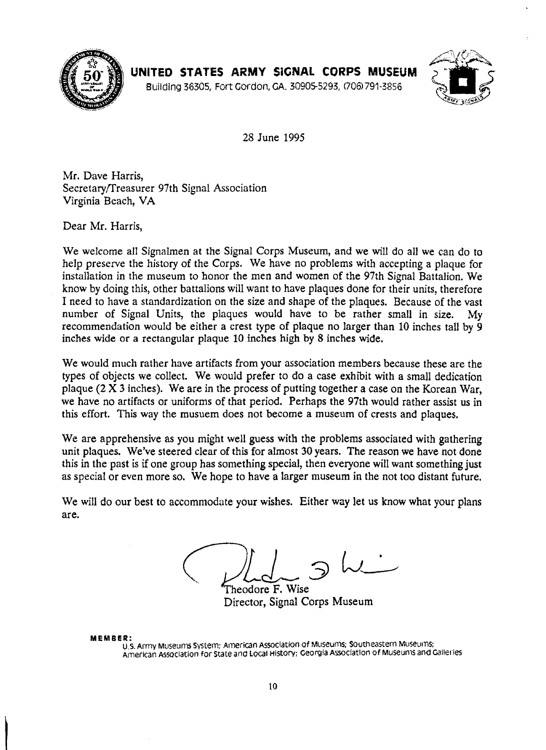

**UNITED STATES ARMY SiGNAL CORPS MUSEUM** 



Building 36305, Fort Cordon, GA. 30905-5293, 006)791-3856

28 June 1995

Mr. Dave Harris, Secretaryffreasurer 97th Signal Association Virginia Beach, VA

Dear Mr. Harris,

We welcome all Signalmen at the Signal Corps Museum, and we will do all we can do to help preserve the history of the Corps. We have no problems with accepting a plaque for installation in the museum to honor the men and women of the 97th Signal Battalion. We know by doing this, other battalions will want to have plaques done for their units, therefore I need to have a standardization on the size and shape of the plaques. Because of the vast number of Signal Units, the plaques would have to be rather small in size. My recommendation would be either a crest type of plaque no larger than 10 inches tall by 9 inches wide or a rectangular plaque 10 inches high by 8 inches wide.

We would much rather have artifacts from your association members because these are the types of objects we collect. We would prefer to do a case exhibit with a small dedication plaque (2 X 3 inches). We are in the process of putting together a case on the Korean War, we have no artifacts or uniforms of that period. Perhaps the 97th would rather assist us in this effort. This way the musuem does not become a museum of crests and plaques.

We are apprehensive as you might well guess with the problems associated with gathering unit plaques. We've steered clear of this for almost 30 years. The reason we have not done this in the past is if one group has something special, then everyone will want something just as special or even more so. We hope to have a larger museum in the not too distant future.

We will do our best to accommodate your wishes. Either way let us know what your plans are.

Theodore F. Wise Director, Signal Corps Museum

**MEMBER:**<br>U.S. Army Museums System; American Association of Museums; Southeastern Museums; American Association for State and Local History; Georgia Association of Museums and Galleries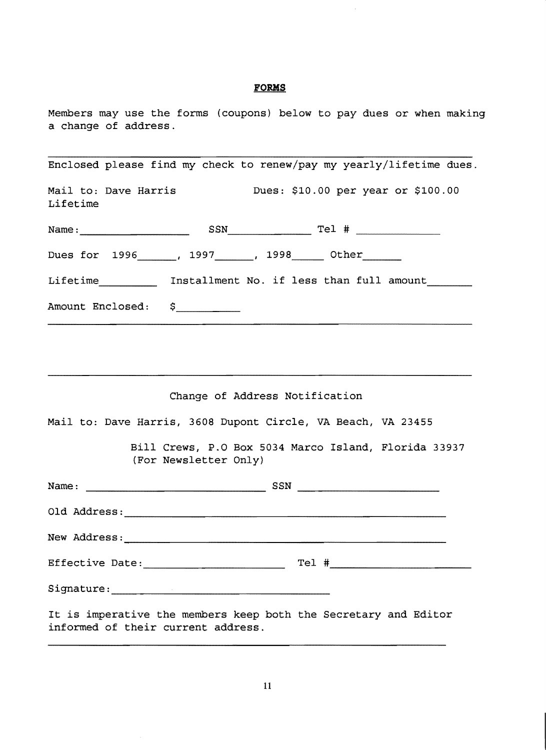### **FORMS**

 $\bar{z}$ 

Members may use the forms (coupons) below to pay dues or when making a change of address.

| Enclosed please find my check to renew/pay my yearly/lifetime dues.                                   |
|-------------------------------------------------------------------------------------------------------|
| Mail to: Dave Harris               Dues: \$10.00 per year or \$100.00<br>Lifetime                     |
|                                                                                                       |
| Dues for 1996______, 1997______, 1998_____ Other______                                                |
| Lifetime_____________ Installment No. if less than full amount________                                |
| Amount Enclosed: \$                                                                                   |
|                                                                                                       |
|                                                                                                       |
| Change of Address Notification                                                                        |
| Mail to: Dave Harris, 3608 Dupont Circle, VA Beach, VA 23455                                          |
| Bill Crews, P.O Box 5034 Marco Island, Florida 33937<br>(For Newsletter Only)                         |
|                                                                                                       |
|                                                                                                       |
|                                                                                                       |
|                                                                                                       |
|                                                                                                       |
| It is imperative the members keep both the Secretary and Editor<br>informed of their current address. |

 $\mathcal{L}$